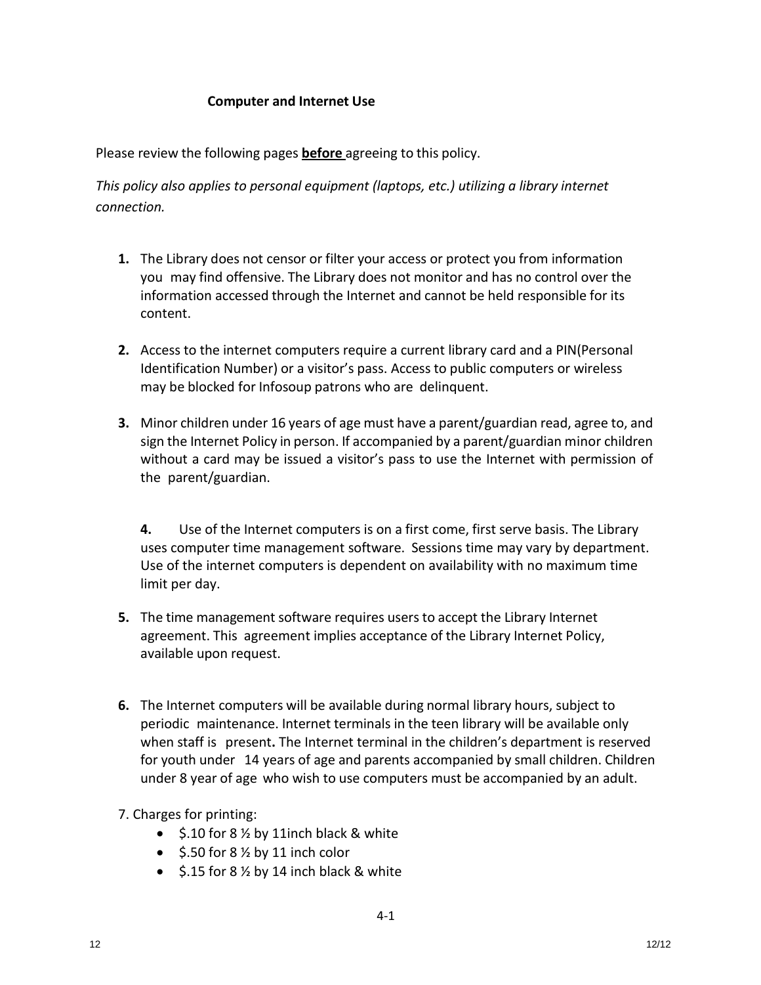## **Computer and Internet Use**

Please review the following pages **before** agreeing to this policy.

*This policy also applies to personal equipment (laptops, etc.) utilizing a library internet connection.*

- **1.** The Library does not censor or filter your access or protect you from information you may find offensive. The Library does not monitor and has no control over the information accessed through the Internet and cannot be held responsible for its content.
- **2.** Access to the internet computers require a current library card and a PIN(Personal Identification Number) or a visitor's pass. Access to public computers or wireless may be blocked for Infosoup patrons who are delinquent.
- **3.** Minor children under 16 years of age must have a parent/guardian read, agree to, and sign the Internet Policy in person. If accompanied by a parent/guardian minor children without a card may be issued a visitor's pass to use the Internet with permission of the parent/guardian.

**4.** Use of the Internet computers is on a first come, first serve basis. The Library uses computer time management software. Sessions time may vary by department. Use of the internet computers is dependent on availability with no maximum time limit per day.

- **5.** The time management software requires usersto accept the Library Internet agreement. This agreement implies acceptance of the Library Internet Policy, available upon request.
- **6.** The Internet computers will be available during normal library hours, subject to periodic maintenance. Internet terminals in the teen library will be available only when staff is present**.** The Internet terminal in the children's department is reserved for youth under 14 years of age and parents accompanied by small children. Children under 8 year of age who wish to use computers must be accompanied by an adult.
- 7. Charges for printing:
	- $\bullet$  \$.10 for 8  $\frac{1}{2}$  by 11 inch black & white
	- $\bullet$  \$.50 for 8  $\frac{1}{2}$  by 11 inch color
	- $\bullet$  \$.15 for 8 % by 14 inch black & white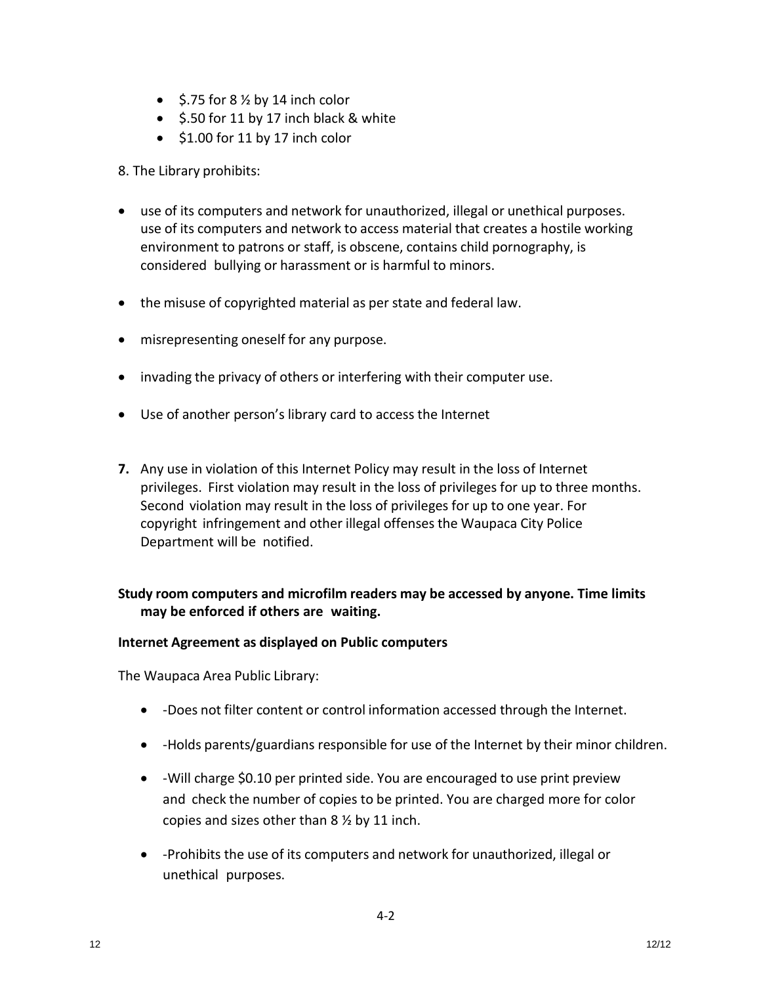- $\bullet$  \$.75 for 8  $\frac{1}{2}$  by 14 inch color
- **S.50 for 11 by 17 inch black & white**
- $\bullet$  \$1.00 for 11 by 17 inch color

## 8. The Library prohibits:

- use of its computers and network for unauthorized, illegal or unethical purposes. use of its computers and network to access material that creates a hostile working environment to patrons or staff, is obscene, contains child pornography, is considered bullying or harassment or is harmful to minors.
- the misuse of copyrighted material as per state and federal law.
- misrepresenting oneself for any purpose.
- invading the privacy of others or interfering with their computer use.
- Use of another person's library card to access the Internet
- **7.** Any use in violation of this Internet Policy may result in the loss of Internet privileges. First violation may result in the loss of privileges for up to three months. Second violation may result in the loss of privileges for up to one year. For copyright infringement and other illegal offenses the Waupaca City Police Department will be notified.

## **Study room computers and microfilm readers may be accessed by anyone. Time limits may be enforced if others are waiting.**

## **Internet Agreement as displayed on Public computers**

The Waupaca Area Public Library:

- -Does not filter content or control information accessed through the Internet.
- -Holds parents/guardians responsible for use of the Internet by their minor children.
- -Will charge \$0.10 per printed side. You are encouraged to use print preview and check the number of copies to be printed. You are charged more for color copies and sizes other than 8 ½ by 11 inch.
- -Prohibits the use of its computers and network for unauthorized, illegal or unethical purposes.